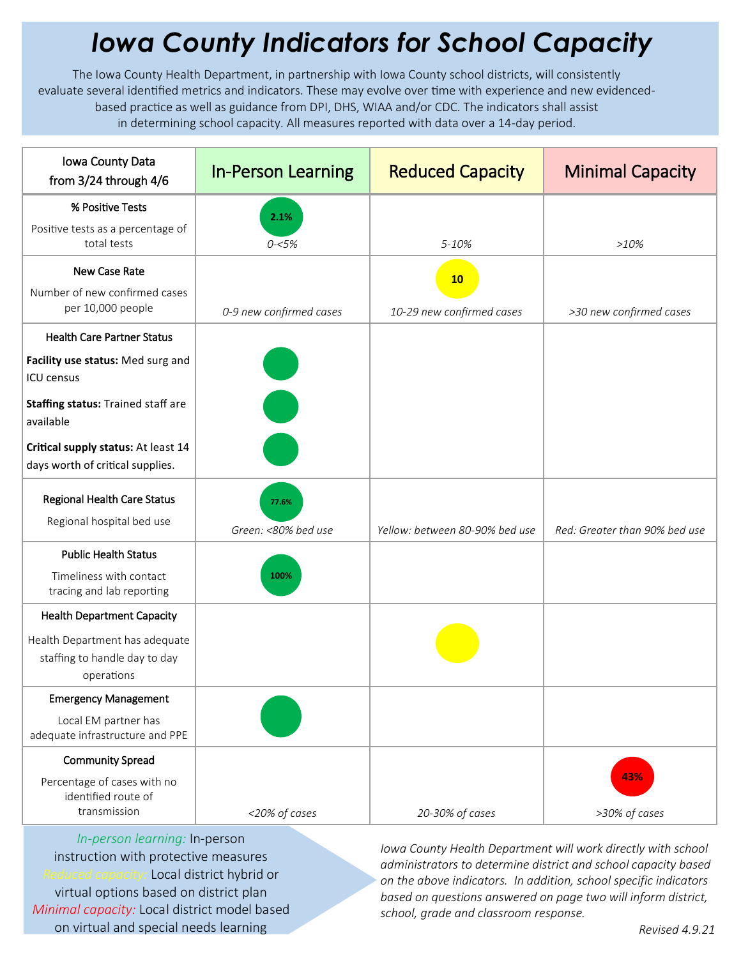## *Iowa County Indicators for School Capacity*

The Iowa County Health Department, in partnership with Iowa County school districts, will consistently evaluate several identified metrics and indicators. These may evolve over time with experience and new evidencedbased practice as well as guidance from DPI, DHS, WIAA and/or CDC. The indicators shall assist in determining school capacity. All measures reported with data over a 14-day period.

| Iowa County Data<br>from 3/24 through 4/6                                     | <b>In-Person Learning</b>                                                                                             | <b>Reduced Capacity</b>        | <b>Minimal Capacity</b>       |
|-------------------------------------------------------------------------------|-----------------------------------------------------------------------------------------------------------------------|--------------------------------|-------------------------------|
| % Positive Tests                                                              | 2.1%                                                                                                                  |                                |                               |
| Positive tests as a percentage of<br>total tests                              | $0 - 5%$                                                                                                              | 5-10%                          | $>10\%$                       |
| New Case Rate                                                                 |                                                                                                                       | 10                             |                               |
| Number of new confirmed cases<br>per 10,000 people                            | 0-9 new confirmed cases                                                                                               | 10-29 new confirmed cases      | >30 new confirmed cases       |
| <b>Health Care Partner Status</b>                                             |                                                                                                                       |                                |                               |
| Facility use status: Med surg and<br><b>ICU</b> census                        |                                                                                                                       |                                |                               |
| Staffing status: Trained staff are<br>available                               | <b>Contract Contract Contract Contract Contract Contract Contract Contract Contract Contract Contract Contract Co</b> |                                |                               |
| Critical supply status: At least 14<br>days worth of critical supplies.       |                                                                                                                       |                                |                               |
| <b>Regional Health Care Status</b><br>Regional hospital bed use               | 77.6%<br>Green: <80% bed use                                                                                          | Yellow: between 80-90% bed use | Red: Greater than 90% bed use |
| <b>Public Health Status</b>                                                   |                                                                                                                       |                                |                               |
| Timeliness with contact<br>tracing and lab reporting                          | 100%                                                                                                                  |                                |                               |
| <b>Health Department Capacity</b>                                             |                                                                                                                       |                                |                               |
| Health Department has adequate<br>staffing to handle day to day<br>operations |                                                                                                                       |                                |                               |
| <b>Emergency Management</b>                                                   |                                                                                                                       |                                |                               |
| Local EM partner has<br>adequate infrastructure and PPE                       |                                                                                                                       |                                |                               |
| <b>Community Spread</b>                                                       |                                                                                                                       |                                |                               |
| Percentage of cases with no<br>identified route of<br>transmission            | <20% of cases                                                                                                         | 20-30% of cases                | 43%<br>>30% of cases          |

*In-person learning:* In-person instruction with protective measures *Reduced capacity:* Local district hybrid or virtual options based on district plan *Minimal capacity:* Local district model based on virtual and special needs learning

*Iowa County Health Department will work directly with school administrators to determine district and school capacity based on the above indicators. In addition, school specific indicators based on questions answered on page two will inform district, school, grade and classroom response.*